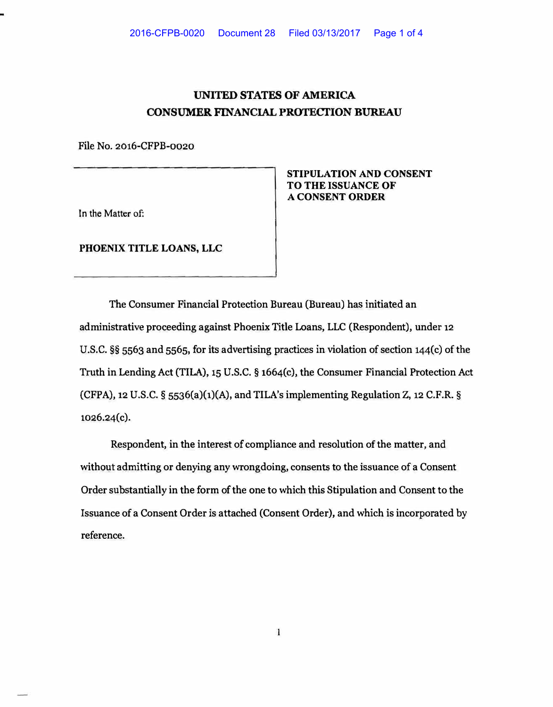## **UNITED STATES OF AMERICA CONSUMER FINANCIAL PROTECTION BUREAU**

**F le No. 2016-CFPB-0020 i**

In the Matter of:

**PHOENIX TITLE LOANS, LLC** 

**STIPULATION AND CONSENT TO THE ISSUANCE OF A CONSENT ORDER** 

**The Consumer Financial Protection Bureau (Bureau) has initiated an administrative proceeding against Phoenix Title Loans, LLC (Respondent), under 12 U.S.C.** §§ **5563 and 5565, for its advertising practices in violation of section 144(c) of the Truth in Lending Act (TILA), 15 U.S.C.** § **1664(c), the Consumer Financial Protection Act (CFPA), 12 U.S.C. § 5536(a)(1)(A), and TILA's implementing Regulation Z, 12 C.F.R. § 1026.24(c).** 

**Respondent, in the interest of compliance and resolution of the matter, and without admitting or denying any wrongdoing, consents to the issuance of a Consent Order substantially in the form of the one to which this Stipulation and Consent to the Issuance of a Consent Order is attached (Consent Order), and which is incorporated by reference.**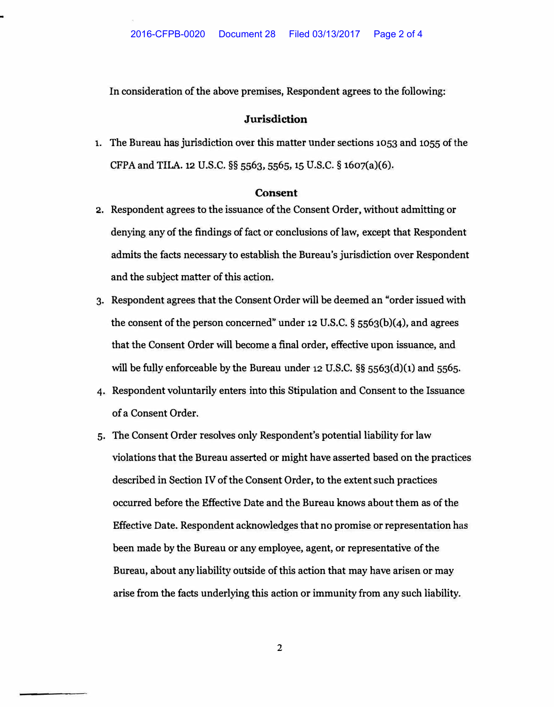In consideration of the above premises, Respondent agrees to the following:

## **Jurisdiction**

1. The Bureau has jurisdiction over this matter under sections 1053 and 1055 of the CFPAand TII..A.12 U.S.C. **§§** 5563, 5565, 15 U.S.C. **§** 1607(a)(6).

## **Consent**

- 2. Respondent agrees to the issuance of the Consent Order, without admitting or denying any of the findings of fact or conclusions of law, except that Respondent admits the facts necessary to establish the Bureau's jurisdiction over Respondent and the subject matter of this action.
- 3. Respondent agrees that the Consent Order will be deemed an "order issued with the consent of the person concerned" under 12 U.S.C. § 5563(b)(4), and agrees that the Consent Order will become a final order, effective upon issuance, and will be fully enforceable by the Bureau under **12** U.S.C. §§ 5563(d)(1) and 5565.
- 4. Respondent voluntarily enters into this Stipulation and Consent to the Issuance of a Consent Order.
- 5. The Consent Order resolves only Respondent's potential liability for law violations that the Bureau asserted or might have asserted based on the practices described in Section IV of the Consent Order, to the extent such practices occurred before the Effective Date and the Bureau knows about them as of the Effective Date. Respondent acknowledges that no promise or representation has been made by the Bureau or any employee, agent, or representative of the Bureau, about any liability outside of this action that may have arisen or may arise from the facts underlying this action or immunity from any such liability.

2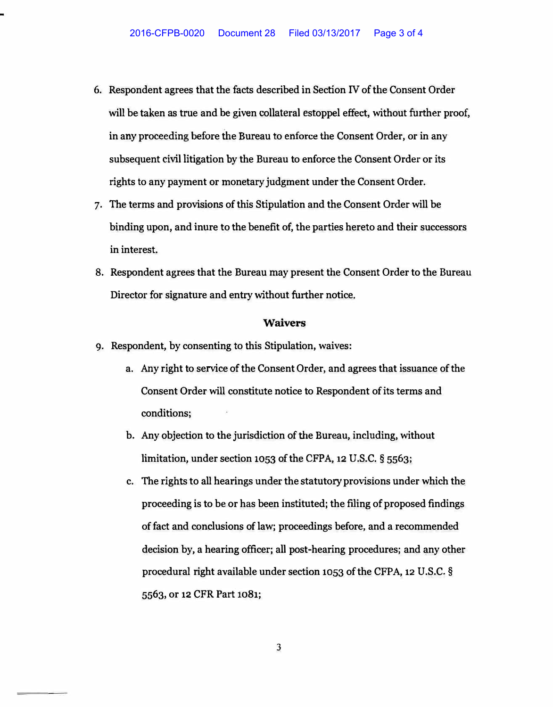- **6. Respondent agrees that the facts described in Section IV of the Consent Order will be taken as true and be given collateral estoppel effect, without further proof, in any proceeding before the Bureau to** enforce **the Consent Order, or in any subsequent civil litigation by the Bureau to enforce the Consent Order or its rights to any payment or monetary judgment under the Consent Order.**
- **7. The terms and provisions of this Stipulation and the Consent Order will be binding upon, and inure to the benefit of, the parties hereto and their successors in interest.**
- **8. Respondent agrees that the Bureau may present the Consent Order to the Bureau Director for signature and entry without further notice.**

## **Waivers**

- 9. **Respondent, by consenting to this Stipulation, waives:**
	- **a. Any right to service of the Consent Order, and agrees that issuance of the Consent Order will constitute notice to Respondent of its terms and conditions;**
	- **b. Any objection to the jurisdiction of the Bureau, including, without limitation, under section** 1053 **of the CFPA, 12 U.S.C. §** 5563;
	- **c. The rights to all hearings under the statutory provisions under which the proceeding is to be or has been instituted; the filing of proposed findings of fact and conclusions of law; proceedings before, and a recommended decision by, a hearing officer; all post-hearing procedures; and any other procedural right available under section** 1053 **of the CFPA,** 12 **U.S.C.** § 5563, **or** 12 **CFR Part** 1081;